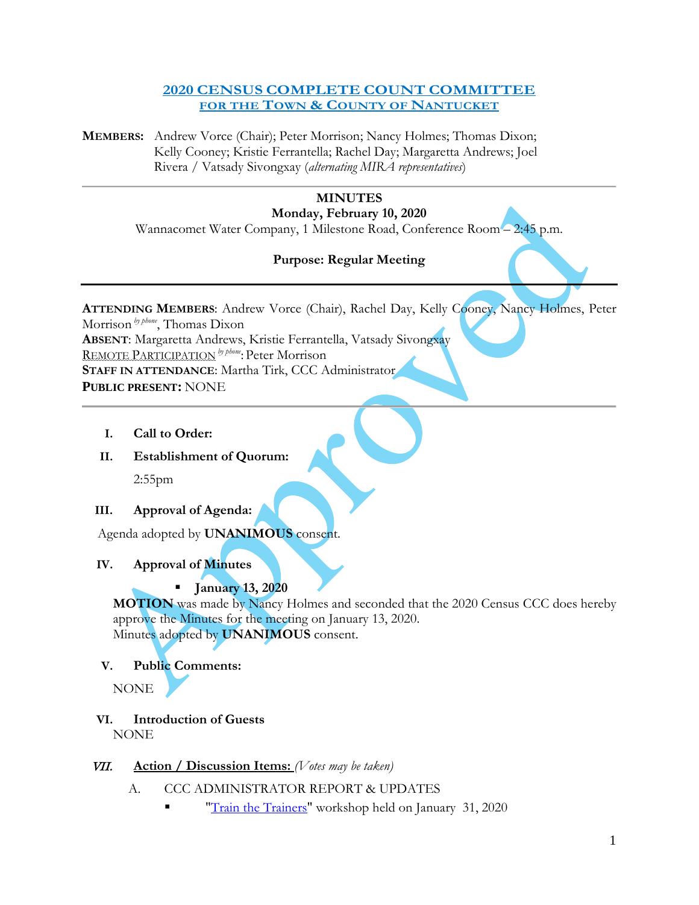#### **2020 CENSUS COMPLETE COUNT COMMITTEE FOR THE TOWN & COUNTY OF NANTUCKET**

**MEMBERS:** Andrew Vorce (Chair); Peter Morrison; Nancy Holmes; Thomas Dixon; Kelly Cooney; Kristie Ferrantella; Rachel Day; Margaretta Andrews; Joel Rivera / Vatsady Sivongxay (*alternating MIRA representatives*)

# **MINUTES**

**Monday, February 10, 2020**

Wannacomet Water Company, 1 Milestone Road, Conference Room – 2:45 p.m.

# **Purpose: Regular Meeting**

**ATTENDING MEMBERS**: Andrew Vorce (Chair), Rachel Day, Kelly Cooney, Nancy Holmes, Peter Morrison *by phone*, Thomas Dixon **ABSENT**: Margaretta Andrews, Kristie Ferrantella, Vatsady Sivongxay REMOTE PARTICIPATION *by phone*: Peter Morrison **STAFF IN ATTENDANCE**: Martha Tirk, CCC Administrator **PUBLIC PRESENT:** NONE

- **I. Call to Order:**
- **II. Establishment of Quorum:**

2:55pm

#### **III. Approval of Agenda:**

Agenda adopted by **UNANIMOUS** consent.

# **IV. Approval of Minutes**

#### **January 13, 2020**

**MOTION** was made by Nancy Holmes and seconded that the 2020 Census CCC does hereby approve the Minutes for the meeting on January 13, 2020. Minutes adopted by **UNANIMOUS** consent.

#### **V. Public Comments:**

NONE

# **VI. Introduction of Guests**

NONE

# VII. **Action / Discussion Items:** *(Votes may be taken)*

- A. CCC ADMINISTRATOR REPORT & UPDATES
	- ["Train the Trainers"](https://urldefense.proofpoint.com/v2/url?u=https-3A__www.eventbrite.com_e_nantucket-2D2020-2Dcensus-2Dtrain-2Dthe-2Dtrainers-2Dworkshop-2Dtickets-2D80345169565&d=DwMFaQ&c=lDF7oMaPKXpkYvev9V-fVahWL0QWnGCCAfCDz1Bns_w&r=mDmDSTRZkeG_lCfflNztnuLKEjDCmeypiP6VHjlPlAo&m=vCSqOzfFUWFutizj1H42uDJ_qhce_QySf83oqBZi9m0&s=QJv_SWpEEWipvRQxDAPg0Dt_3R-GC8WIPJruqSkKAKc&e=) workshop held on January 31, 2020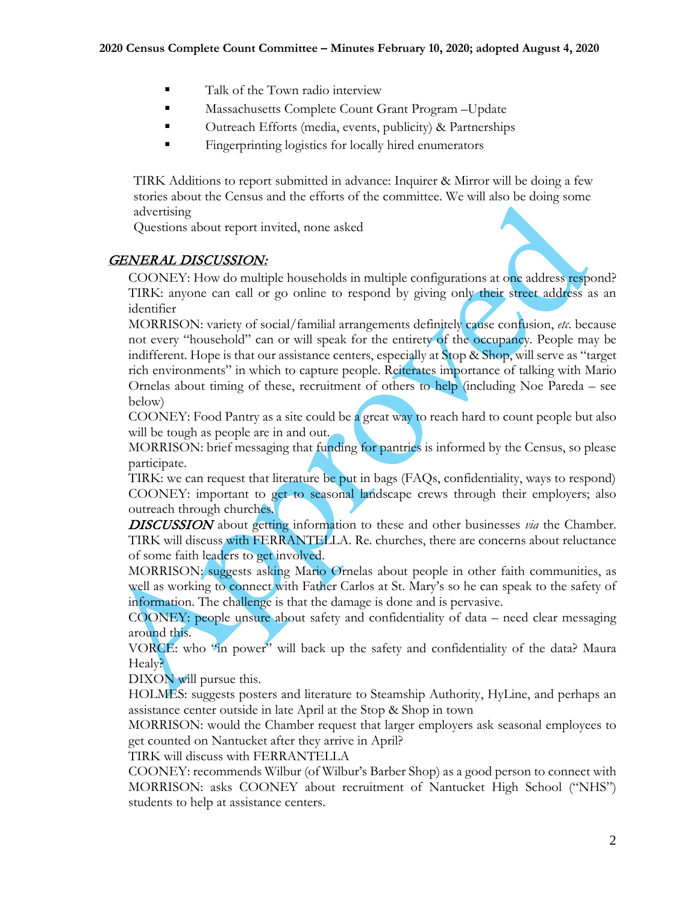- Talk of the Town radio interview
- **Massachusetts Complete Count Grant Program –Update**
- Outreach Efforts (media, events, publicity) & Partnerships
- **Fingerprinting logistics for locally hired enumerators**

TIRK Additions to report submitted in advance: Inquirer & Mirror will be doing a few stories about the Census and the efforts of the committee. We will also be doing some advertising

Questions about report invited, none asked

#### GENERAL DISCUSSION:

COONEY: How do multiple households in multiple configurations at one address respond? TIRK: anyone can call or go online to respond by giving only their street address as an identifier

MORRISON: variety of social/familial arrangements definitely cause confusion, *etc*. because not every "household" can or will speak for the entirety of the occupancy. People may be indifferent. Hope is that our assistance centers, especially at Stop & Shop, will serve as "target rich environments" in which to capture people. Reiterates importance of talking with Mario Ornelas about timing of these, recruitment of others to help (including Noe Pareda – see below)

COONEY: Food Pantry as a site could be a great way to reach hard to count people but also will be tough as people are in and out.

MORRISON: brief messaging that funding for pantries is informed by the Census, so please participate.

TIRK: we can request that literature be put in bags (FAQs, confidentiality, ways to respond) COONEY: important to get to seasonal landscape crews through their employers; also outreach through churches.

DISCUSSION about getting information to these and other businesses *via* the Chamber. TIRK will discuss with FERRANTELLA. Re. churches, there are concerns about reluctance of some faith leaders to get involved.

MORRISON: suggests asking Mario Ornelas about people in other faith communities, as well as working to connect with Father Carlos at St. Mary's so he can speak to the safety of information. The challenge is that the damage is done and is pervasive.

COONEY: people unsure about safety and confidentiality of data – need clear messaging around this.

VORCE: who "in power" will back up the safety and confidentiality of the data? Maura Healy?

DIXON will pursue this.

HOLMES: suggests posters and literature to Steamship Authority, HyLine, and perhaps an assistance center outside in late April at the Stop & Shop in town

MORRISON: would the Chamber request that larger employers ask seasonal employees to get counted on Nantucket after they arrive in April?

TIRK will discuss with FERRANTELLA

COONEY: recommends Wilbur (of Wilbur's Barber Shop) as a good person to connect with MORRISON: asks COONEY about recruitment of Nantucket High School ("NHS") students to help at assistance centers.